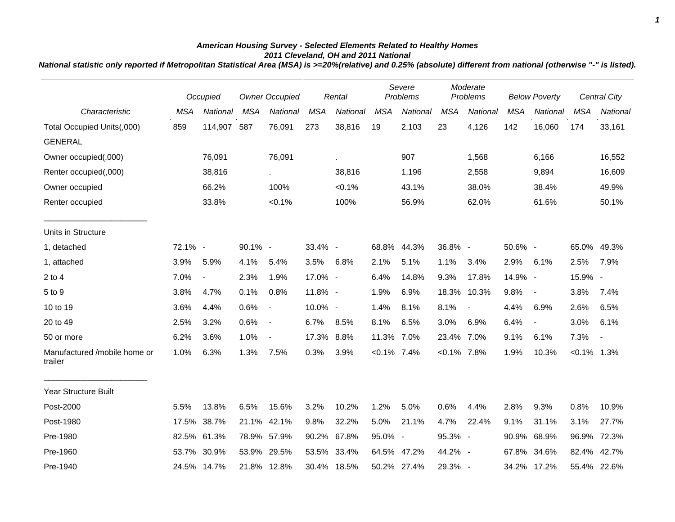## *American Housing Survey - Selected Elements Related to Healthy Homes 2011 Cleveland, OH and 2011 National*

*National statistic only reported if Metropolitan Statistical Area (MSA) is >=20%(relative) and 0.25% (absolute) different from national (otherwise "-" is listed).*

|                                         |            | Occupied       |            | Owner Occupied           | Rental     |             | Severe<br>Problems |             | Moderate<br>Problems |                          | <b>Below Poverty</b> |                          |                | <b>Central City</b> |
|-----------------------------------------|------------|----------------|------------|--------------------------|------------|-------------|--------------------|-------------|----------------------|--------------------------|----------------------|--------------------------|----------------|---------------------|
| Characteristic                          | <b>MSA</b> | National       | <b>MSA</b> | National                 | <b>MSA</b> | National    | <b>MSA</b>         | National    | <b>MSA</b>           | National                 | <b>MSA</b>           | National                 | <b>MSA</b>     | National            |
| Total Occupied Units(,000)              | 859        | 114,907        | 587        | 76,091                   | 273        | 38,816      | 19                 | 2,103       | 23                   | 4,126                    | 142                  | 16,060                   | 174            | 33,161              |
| <b>GENERAL</b>                          |            |                |            |                          |            |             |                    |             |                      |                          |                      |                          |                |                     |
| Owner occupied(,000)                    |            | 76,091         |            | 76,091                   |            |             |                    | 907         |                      | 1,568                    |                      | 6,166                    |                | 16,552              |
| Renter occupied(,000)                   |            | 38,816         |            | $\sim$                   |            | 38,816      |                    | 1,196       |                      | 2,558                    |                      | 9,894                    |                | 16,609              |
| Owner occupied                          |            | 66.2%          |            | 100%                     |            | $< 0.1\%$   |                    | 43.1%       |                      | 38.0%                    |                      | 38.4%                    |                | 49.9%               |
| Renter occupied                         |            | 33.8%          |            | $< 0.1\%$                |            | 100%        |                    | 56.9%       |                      | 62.0%                    |                      | 61.6%                    |                | 50.1%               |
| Units in Structure                      |            |                |            |                          |            |             |                    |             |                      |                          |                      |                          |                |                     |
| 1, detached                             | 72.1% -    |                | 90.1% -    |                          | 33.4% -    |             | 68.8%              | 44.3%       | 36.8% -              |                          | 50.6% -              |                          | 65.0%          | 49.3%               |
| 1, attached                             | 3.9%       | 5.9%           | 4.1%       | 5.4%                     | 3.5%       | 6.8%        | 2.1%               | 5.1%        | 1.1%                 | 3.4%                     | 2.9%                 | 6.1%                     | 2.5%           | 7.9%                |
| $2$ to $4$                              | 7.0%       | $\blacksquare$ | 2.3%       | 1.9%                     | 17.0% -    |             | 6.4%               | 14.8%       | 9.3%                 | 17.8%                    | 14.9% -              |                          | 15.9% -        |                     |
| 5 to 9                                  | 3.8%       | 4.7%           | 0.1%       | 0.8%                     | 11.8% -    |             | 1.9%               | 6.9%        | 18.3%                | 10.3%                    | 9.8%                 | $\overline{\phantom{a}}$ | 3.8%           | 7.4%                |
| 10 to 19                                | 3.6%       | 4.4%           | 0.6%       | $\overline{\phantom{a}}$ | 10.0% -    |             | 1.4%               | 8.1%        | 8.1%                 | $\overline{\phantom{a}}$ | 4.4%                 | 6.9%                     | 2.6%           | 6.5%                |
| 20 to 49                                | 2.5%       | 3.2%           | 0.6%       | $\overline{\phantom{a}}$ | 6.7%       | 8.5%        | 8.1%               | 6.5%        | 3.0%                 | 6.9%                     | 6.4%                 | $\blacksquare$           | 3.0%           | 6.1%                |
| 50 or more                              | 6.2%       | 3.6%           | 1.0%       | $\blacksquare$           | 17.3% 8.8% |             | 11.3%              | 7.0%        | 23.4%                | 7.0%                     | 9.1%                 | 6.1%                     | 7.3%           | $\blacksquare$      |
| Manufactured /mobile home or<br>trailer | 1.0%       | 6.3%           | 1.3%       | 7.5%                     | 0.3%       | 3.9%        | $< 0.1\%$ 7.4%     |             | $< 0.1\%$ 7.8%       |                          | 1.9%                 | 10.3%                    | $< 0.1\%$ 1.3% |                     |
| <b>Year Structure Built</b>             |            |                |            |                          |            |             |                    |             |                      |                          |                      |                          |                |                     |
| Post-2000                               | 5.5%       | 13.8%          | 6.5%       | 15.6%                    | 3.2%       | 10.2%       | 1.2%               | 5.0%        | 0.6%                 | 4.4%                     | 2.8%                 | 9.3%                     | 0.8%           | 10.9%               |
| Post-1980                               | 17.5%      | 38.7%          | 21.1%      | 42.1%                    | 9.8%       | 32.2%       | 5.0%               | 21.1%       | 4.7%                 | 22.4%                    | 9.1%                 | 31.1%                    | 3.1%           | 27.7%               |
| Pre-1980                                | 82.5%      | 61.3%          | 78.9%      | 57.9%                    | 90.2%      | 67.8%       | 95.0% -            |             | 95.3% -              |                          | 90.9%                | 68.9%                    | 96.9%          | 72.3%               |
| Pre-1960                                | 53.7%      | 30.9%          | 53.9%      | 29.5%                    |            | 53.5% 33.4% | 64.5%              | 47.2%       | 44.2% -              |                          | 67.8%                | 34.6%                    | 82.4%          | 42.7%               |
| Pre-1940                                |            | 24.5% 14.7%    |            | 21.8% 12.8%              |            | 30.4% 18.5% |                    | 50.2% 27.4% | 29.3% -              |                          |                      | 34.2% 17.2%              |                | 55.4% 22.6%         |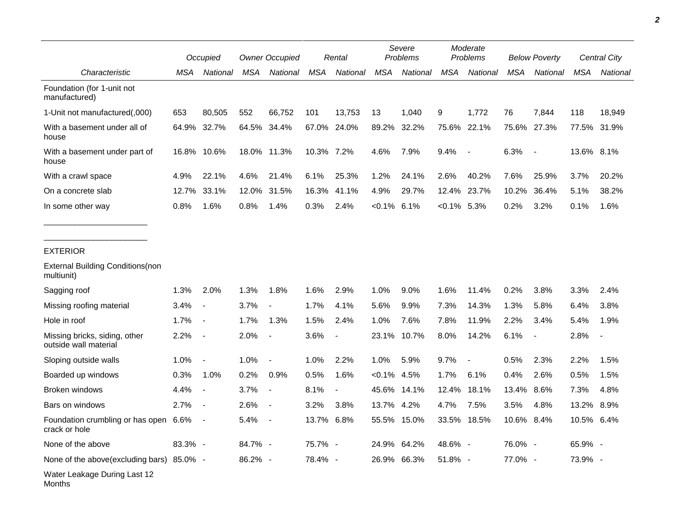|                                                        |         | <b>Owner Occupied</b><br>Occupied |         |                          |            | Rental                   |                | Severe<br>Problems |             | Moderate<br>Problems     |            | <b>Below Poverty</b>     |            | Central City |  |
|--------------------------------------------------------|---------|-----------------------------------|---------|--------------------------|------------|--------------------------|----------------|--------------------|-------------|--------------------------|------------|--------------------------|------------|--------------|--|
| Characteristic                                         | MSA     | National                          | MSA     | National                 | <b>MSA</b> | National                 | <b>MSA</b>     | National           | <b>MSA</b>  | National                 | MSA        | National                 | <b>MSA</b> | National     |  |
| Foundation (for 1-unit not<br>manufactured)            |         |                                   |         |                          |            |                          |                |                    |             |                          |            |                          |            |              |  |
| 1-Unit not manufactured(,000)                          | 653     | 80,505                            | 552     | 66,752                   | 101        | 13,753                   | 13             | 1,040              | 9           | 1,772                    | 76         | 7,844                    | 118        | 18,949       |  |
| With a basement under all of<br>house                  | 64.9%   | 32.7%                             | 64.5%   | 34.4%                    | 67.0%      | 24.0%                    | 89.2%          | 32.2%              |             | 75.6% 22.1%              |            | 75.6% 27.3%              |            | 77.5% 31.9%  |  |
| With a basement under part of<br>house                 | 16.8%   | 10.6%                             |         | 18.0% 11.3%              | 10.3% 7.2% |                          | 4.6%           | 7.9%               | 9.4%        | $\overline{\phantom{a}}$ | 6.3%       | $\overline{\phantom{a}}$ | 13.6% 8.1% |              |  |
| With a crawl space                                     | 4.9%    | 22.1%                             | 4.6%    | 21.4%                    | 6.1%       | 25.3%                    | 1.2%           | 24.1%              | 2.6%        | 40.2%                    | 7.6%       | 25.9%                    | 3.7%       | 20.2%        |  |
| On a concrete slab                                     | 12.7%   | 33.1%                             | 12.0%   | 31.5%                    | 16.3%      | 41.1%                    | 4.9%           | 29.7%              | 12.4%       | 23.7%                    | 10.2%      | 36.4%                    | 5.1%       | 38.2%        |  |
| In some other way                                      | 0.8%    | 1.6%                              | 0.8%    | 1.4%                     | 0.3%       | 2.4%                     | $< 0.1\%$ 6.1% |                    | $< 0.1\%$   | 5.3%                     | 0.2%       | 3.2%                     | 0.1%       | 1.6%         |  |
| <b>EXTERIOR</b>                                        |         |                                   |         |                          |            |                          |                |                    |             |                          |            |                          |            |              |  |
| <b>External Building Conditions (non</b><br>multiunit) |         |                                   |         |                          |            |                          |                |                    |             |                          |            |                          |            |              |  |
| Sagging roof                                           | 1.3%    | 2.0%                              | 1.3%    | 1.8%                     | 1.6%       | 2.9%                     | 1.0%           | 9.0%               | 1.6%        | 11.4%                    | 0.2%       | 3.8%                     | 3.3%       | 2.4%         |  |
| Missing roofing material                               | 3.4%    | $\blacksquare$                    | 3.7%    | $\overline{\phantom{a}}$ | 1.7%       | 4.1%                     | 5.6%           | 9.9%               | 7.3%        | 14.3%                    | 1.3%       | 5.8%                     | 6.4%       | 3.8%         |  |
| Hole in roof                                           | 1.7%    | $\overline{\phantom{a}}$          | 1.7%    | 1.3%                     | 1.5%       | 2.4%                     | 1.0%           | 7.6%               | 7.8%        | 11.9%                    | 2.2%       | 3.4%                     | 5.4%       | 1.9%         |  |
| Missing bricks, siding, other<br>outside wall material | 2.2%    | $\blacksquare$                    | 2.0%    | $\overline{\phantom{a}}$ | 3.6%       | $\blacksquare$           | 23.1%          | 10.7%              | 8.0%        | 14.2%                    | 6.1%       | $\overline{\phantom{a}}$ | 2.8%       |              |  |
| Sloping outside walls                                  | 1.0%    | $\blacksquare$                    | 1.0%    |                          | 1.0%       | 2.2%                     | 1.0%           | 5.9%               | 9.7%        | $\overline{\phantom{a}}$ | 0.5%       | 2.3%                     | 2.2%       | 1.5%         |  |
| Boarded up windows                                     | 0.3%    | 1.0%                              | 0.2%    | 0.9%                     | 0.5%       | 1.6%                     | $< 0.1\%$      | 4.5%               | 1.7%        | 6.1%                     | 0.4%       | 2.6%                     | 0.5%       | 1.5%         |  |
| Broken windows                                         | 4.4%    | $\blacksquare$                    | 3.7%    | $\blacksquare$           | 8.1%       | $\overline{\phantom{a}}$ | 45.6%          | 14.1%              | 12.4%       | 18.1%                    | 13.4%      | 8.6%                     | 7.3%       | 4.8%         |  |
| Bars on windows                                        | 2.7%    |                                   | 2.6%    |                          | 3.2%       | 3.8%                     | 13.7%          | 4.2%               | 4.7%        | 7.5%                     | 3.5%       | 4.8%                     | 13.2%      | 8.9%         |  |
| Foundation crumbling or has open 6.6%<br>crack or hole |         |                                   | 5.4%    |                          | 13.7% 6.8% |                          |                | 55.5% 15.0%        | 33.5% 18.5% |                          | 10.6% 8.4% |                          | 10.5%      | 6.4%         |  |
| None of the above                                      | 83.3% - |                                   | 84.7% - |                          | 75.7% -    |                          |                | 24.9% 64.2%        | 48.6% -     |                          | 76.0% -    |                          | 65.9% -    |              |  |
| None of the above(excluding bars) 85.0% -              |         |                                   | 86.2% - |                          | 78.4% -    |                          |                | 26.9% 66.3%        | 51.8% -     |                          | 77.0% -    |                          | 73.9% -    |              |  |
| Water Leakage During Last 12<br>Months                 |         |                                   |         |                          |            |                          |                |                    |             |                          |            |                          |            |              |  |

*2*

٠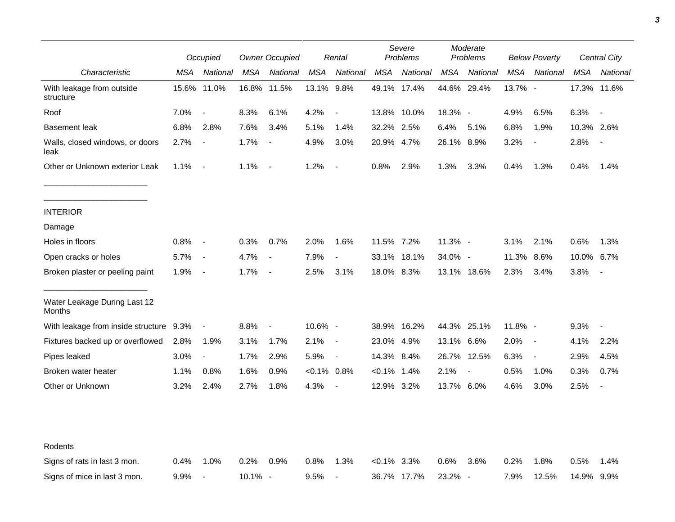|                                         | Occupied |                          | <b>Owner Occupied</b> |                          |                | Rental                   | Severe<br><b>Problems</b> |             | Moderate<br>Problems |                          | <b>Below Poverty</b> |                          | Central City |                |
|-----------------------------------------|----------|--------------------------|-----------------------|--------------------------|----------------|--------------------------|---------------------------|-------------|----------------------|--------------------------|----------------------|--------------------------|--------------|----------------|
| Characteristic                          | MSA      | National                 | <b>MSA</b>            | National                 | MSA            | National                 | <b>MSA</b>                | National    | MSA                  | National                 | <b>MSA</b>           | National                 | MSA          | National       |
| With leakage from outside<br>structure  | 15.6%    | 11.0%                    |                       | 16.8% 11.5%              | 13.1% 9.8%     |                          |                           | 49.1% 17.4% | 44.6% 29.4%          |                          | 13.7% -              |                          |              | 17.3% 11.6%    |
| Roof                                    | 7.0%     | $\overline{\phantom{a}}$ | 8.3%                  | 6.1%                     | 4.2%           | $\blacksquare$           |                           | 13.8% 10.0% | 18.3% -              |                          | 4.9%                 | 6.5%                     | 6.3%         | $\blacksquare$ |
| <b>Basement leak</b>                    | 6.8%     | 2.8%                     | 7.6%                  | 3.4%                     | 5.1%           | 1.4%                     | 32.2% 2.5%                |             | 6.4%                 | 5.1%                     | 6.8%                 | 1.9%                     | 10.3% 2.6%   |                |
| Walls, closed windows, or doors<br>leak | 2.7%     | $\overline{\phantom{a}}$ | 1.7%                  | $\overline{\phantom{a}}$ | 4.9%           | 3.0%                     | 20.9% 4.7%                |             | 26.1% 8.9%           |                          | 3.2%                 | $\overline{\phantom{a}}$ | 2.8%         |                |
| Other or Unknown exterior Leak          | 1.1%     | $\sim$                   | 1.1%                  | $\overline{\phantom{a}}$ | 1.2%           | $\overline{\phantom{a}}$ | 0.8%                      | 2.9%        | 1.3%                 | 3.3%                     | 0.4%                 | 1.3%                     | 0.4%         | 1.4%           |
| <b>INTERIOR</b>                         |          |                          |                       |                          |                |                          |                           |             |                      |                          |                      |                          |              |                |
| Damage                                  |          |                          |                       |                          |                |                          |                           |             |                      |                          |                      |                          |              |                |
| Holes in floors                         | 0.8%     | $\overline{\phantom{a}}$ | 0.3%                  | 0.7%                     | 2.0%           | 1.6%                     | 11.5% 7.2%                |             | 11.3% -              |                          | 3.1%                 | 2.1%                     | 0.6%         | 1.3%           |
| Open cracks or holes                    | 5.7%     | $\overline{\phantom{a}}$ | 4.7%                  | $\overline{\phantom{a}}$ | 7.9%           | $\overline{\phantom{a}}$ | 33.1%                     | 18.1%       | 34.0% -              |                          | 11.3%                | 8.6%                     | 10.0%        | 6.7%           |
| Broken plaster or peeling paint         | 1.9%     | $\overline{\phantom{a}}$ | 1.7%                  | $\overline{\phantom{a}}$ | 2.5%           | 3.1%                     | 18.0% 8.3%                |             |                      | 13.1% 18.6%              | 2.3%                 | 3.4%                     | 3.8%         |                |
| Water Leakage During Last 12<br>Months  |          |                          |                       |                          |                |                          |                           |             |                      |                          |                      |                          |              |                |
| With leakage from inside structure 9.3% |          | $\overline{\phantom{a}}$ | 8.8%                  | $\blacksquare$           | 10.6% -        |                          |                           | 38.9% 16.2% |                      | 44.3% 25.1%              | 11.8% -              |                          | 9.3%         | $\blacksquare$ |
| Fixtures backed up or overflowed        | 2.8%     | 1.9%                     | 3.1%                  | 1.7%                     | 2.1%           | $\blacksquare$           | 23.0% 4.9%                |             | 13.1% 6.6%           |                          | 2.0%                 | $\sim$                   | 4.1%         | 2.2%           |
| Pipes leaked                            | 3.0%     | $\overline{\phantom{a}}$ | 1.7%                  | 2.9%                     | 5.9%           | $\overline{\phantom{a}}$ | 14.3% 8.4%                |             | 26.7% 12.5%          |                          | 6.3%                 | $\overline{\phantom{a}}$ | 2.9%         | 4.5%           |
| Broken water heater                     | 1.1%     | 0.8%                     | 1.6%                  | 0.9%                     | $< 0.1\%$ 0.8% |                          | $< 0.1\%$ 1.4%            |             | 2.1%                 | $\overline{\phantom{a}}$ | 0.5%                 | 1.0%                     | 0.3%         | 0.7%           |
| Other or Unknown                        | 3.2%     | 2.4%                     | 2.7%                  | 1.8%                     | 4.3%           | $\overline{\phantom{a}}$ | 12.9% 3.2%                |             | 13.7% 6.0%           |                          | 4.6%                 | 3.0%                     | 2.5%         | $\blacksquare$ |
|                                         |          |                          |                       |                          |                |                          |                           |             |                      |                          |                      |                          |              |                |
| Rodents                                 |          |                          |                       |                          |                |                          |                           |             |                      |                          |                      |                          |              |                |
| Signs of rats in last 3 mon.            | 0.4%     | 1.0%                     | 0.2%                  | 0.9%                     | 0.8%           | 1.3%                     | $<0.1\%$ 3.3%             |             | 0.6%                 | 3.6%                     | 0.2%                 | 1.8%                     | 0.5%         | 1.4%           |
| Signs of mice in last 3 mon.            | 9.9%     | $\overline{\phantom{a}}$ | 10.1% -               |                          | 9.5%           | $\overline{\phantom{a}}$ |                           | 36.7% 17.7% | 23.2%                | $\overline{\phantom{a}}$ | 7.9%                 | 12.5%                    | 14.9% 9.9%   |                |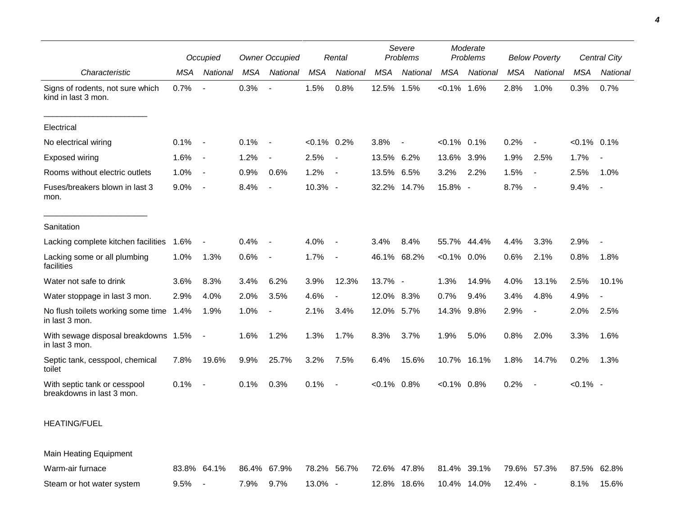|                                                           |      | Occupied                 |      | <b>Owner Occupied</b> |                | Rental                   |            | Severe<br>Problems |                | Moderate<br>Problems |            | <b>Below Poverty</b>     |                | Central City   |
|-----------------------------------------------------------|------|--------------------------|------|-----------------------|----------------|--------------------------|------------|--------------------|----------------|----------------------|------------|--------------------------|----------------|----------------|
| Characteristic                                            | MSA  | National                 | MSA  | National              | <b>MSA</b>     | National                 | <b>MSA</b> | National           | <b>MSA</b>     | National             | <b>MSA</b> | National                 | MSA            | National       |
| Signs of rodents, not sure which<br>kind in last 3 mon.   | 0.7% | $\overline{a}$           | 0.3% |                       | 1.5%           | 0.8%                     | 12.5%      | 1.5%               | $< 0.1\%$ 1.6% |                      | 2.8%       | 1.0%                     | 0.3%           | 0.7%           |
| Electrical                                                |      |                          |      |                       |                |                          |            |                    |                |                      |            |                          |                |                |
| No electrical wiring                                      | 0.1% | $\overline{\phantom{a}}$ | 0.1% |                       | $< 0.1\%$ 0.2% |                          | 3.8%       | $\overline{a}$     | $< 0.1\%$ 0.1% |                      | 0.2%       |                          | $< 0.1\%$ 0.1% |                |
| Exposed wiring                                            | 1.6% | $\overline{\phantom{a}}$ | 1.2% |                       | 2.5%           | $\overline{\phantom{a}}$ | 13.5%      | 6.2%               | 13.6%          | 3.9%                 | 1.9%       | 2.5%                     | 1.7%           |                |
| Rooms without electric outlets                            | 1.0% | $\blacksquare$           | 0.9% | 0.6%                  | 1.2%           | $\sim$                   | 13.5% 6.5% |                    | 3.2%           | 2.2%                 | 1.5%       | $\overline{\phantom{a}}$ | 2.5%           | 1.0%           |
| Fuses/breakers blown in last 3<br>mon.                    | 9.0% | $\overline{\phantom{a}}$ | 8.4% | $\sim$                | 10.3% -        |                          |            | 32.2% 14.7%        | 15.8% -        |                      | 8.7%       | $\overline{\phantom{a}}$ | 9.4%           | $\blacksquare$ |
| Sanitation                                                |      |                          |      |                       |                |                          |            |                    |                |                      |            |                          |                |                |
| Lacking complete kitchen facilities                       | 1.6% | $\overline{a}$           | 0.4% |                       | 4.0%           | $\blacksquare$           | 3.4%       | 8.4%               | 55.7% 44.4%    |                      | 4.4%       | 3.3%                     | 2.9%           |                |
| Lacking some or all plumbing<br>facilities                | 1.0% | 1.3%                     | 0.6% | $\sim$                | 1.7%           | $\overline{a}$           | 46.1%      | 68.2%              | $< 0.1\%$ 0.0% |                      | 0.6%       | 2.1%                     | 0.8%           | 1.8%           |
| Water not safe to drink                                   | 3.6% | 8.3%                     | 3.4% | 6.2%                  | 3.9%           | 12.3%                    | 13.7% -    |                    | 1.3%           | 14.9%                | 4.0%       | 13.1%                    | 2.5%           | 10.1%          |
| Water stoppage in last 3 mon.                             | 2.9% | 4.0%                     | 2.0% | 3.5%                  | 4.6%           | $\sim$                   | 12.0%      | 8.3%               | 0.7%           | 9.4%                 | 3.4%       | 4.8%                     | 4.9%           | $\sim$         |
| No flush toilets working some time 1.4%<br>in last 3 mon. |      | 1.9%                     | 1.0% |                       | 2.1%           | 3.4%                     | 12.0% 5.7% |                    | 14.3% 9.8%     |                      | 2.9%       | $\blacksquare$           | 2.0%           | 2.5%           |
| With sewage disposal breakdowns 1.5%<br>in last 3 mon.    |      | $\blacksquare$           | 1.6% | 1.2%                  | 1.3%           | 1.7%                     | 8.3%       | 3.7%               | 1.9%           | 5.0%                 | 0.8%       | 2.0%                     | 3.3%           | 1.6%           |
| Septic tank, cesspool, chemical<br>toilet                 | 7.8% | 19.6%                    | 9.9% | 25.7%                 | 3.2%           | 7.5%                     | 6.4%       | 15.6%              | 10.7% 16.1%    |                      | 1.8%       | 14.7%                    | 0.2%           | 1.3%           |
| With septic tank or cesspool<br>breakdowns in last 3 mon. | 0.1% | $\overline{\phantom{a}}$ | 0.1% | 0.3%                  | 0.1%           |                          | $< 0.1\%$  | 0.8%               | $< 0.1\%$ 0.8% |                      | 0.2%       | $\overline{\phantom{a}}$ | $< 0.1\%$ -    |                |

## HEATING/FUEL

Main Heating Equipment

| Warm-air furnace          |           |           | 83.8% 64.1% 86.4% 67.9% 78.2% 56.7% 72.6% 47.8% 81.4% 39.1% 79.6% 57.3% 87.5% 62.8% |                                      |                  |
|---------------------------|-----------|-----------|-------------------------------------------------------------------------------------|--------------------------------------|------------------|
| Steam or hot water system | $9.5\%$ - | 7.9% 9.7% | $13.0\%$ -                                                                          | 12.8%  18.6%  10.4%  14.0%  12.4%  - | $8.1\%$<br>15.6% |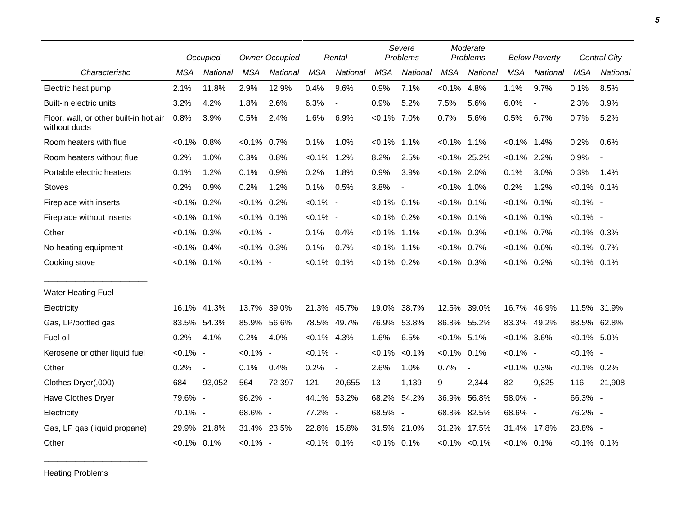|                                                         |                | Occupied       | <b>Owner Occupied</b> |          |                | Rental                   | Severe<br>Problems |                          |                | Moderate<br>Problems |                | <b>Below Poverty</b>     |                | <b>Central City</b> |
|---------------------------------------------------------|----------------|----------------|-----------------------|----------|----------------|--------------------------|--------------------|--------------------------|----------------|----------------------|----------------|--------------------------|----------------|---------------------|
| Characteristic                                          | <b>MSA</b>     | National       | <b>MSA</b>            | National | <b>MSA</b>     | National                 | <b>MSA</b>         | National                 | <b>MSA</b>     | National             | <b>MSA</b>     | National                 | <b>MSA</b>     | National            |
| Electric heat pump                                      | 2.1%           | 11.8%          | 2.9%                  | 12.9%    | 0.4%           | 9.6%                     | 0.9%               | 7.1%                     | $< 0.1\%$      | 4.8%                 | 1.1%           | 9.7%                     | 0.1%           | 8.5%                |
| Built-in electric units                                 | 3.2%           | 4.2%           | 1.8%                  | 2.6%     | 6.3%           | $\overline{\phantom{a}}$ | 0.9%               | 5.2%                     | 7.5%           | 5.6%                 | 6.0%           | $\overline{\phantom{a}}$ | 2.3%           | 3.9%                |
| Floor, wall, or other built-in hot air<br>without ducts | 0.8%           | 3.9%           | 0.5%                  | 2.4%     | 1.6%           | 6.9%                     | $< 0.1\%$ 7.0%     |                          | 0.7%           | 5.6%                 | 0.5%           | 6.7%                     | 0.7%           | 5.2%                |
| Room heaters with flue                                  | $< 0.1\%$      | 0.8%           | $< 0.1\%$             | 0.7%     | 0.1%           | 1.0%                     | $< 0.1\%$          | 1.1%                     | $< 0.1\%$      | 1.1%                 | $< 0.1\%$      | 1.4%                     | 0.2%           | 0.6%                |
| Room heaters without flue                               | 0.2%           | 1.0%           | 0.3%                  | 0.8%     | $< 0.1\%$ 1.2% |                          | 8.2%               | 2.5%                     |                | $< 0.1\%$ 25.2%      | $< 0.1\%$ 2.2% |                          | 0.9%           |                     |
| Portable electric heaters                               | 0.1%           | 1.2%           | 0.1%                  | 0.9%     | 0.2%           | 1.8%                     | 0.9%               | 3.9%                     | $< 0.1\%$ 2.0% |                      | 0.1%           | 3.0%                     | 0.3%           | 1.4%                |
| <b>Stoves</b>                                           | 0.2%           | 0.9%           | 0.2%                  | 1.2%     | 0.1%           | 0.5%                     | 3.8%               | $\overline{\phantom{a}}$ | $< 0.1\%$ 1.0% |                      | 0.2%           | 1.2%                     | $< 0.1\%$ 0.1% |                     |
| Fireplace with inserts                                  | $< 0.1\%$      | 0.2%           | $< 0.1\%$ 0.2%        |          | $< 0.1\%$ -    |                          | $< 0.1\%$ 0.1%     |                          | $< 0.1\%$ 0.1% |                      | $< 0.1\%$ 0.1% |                          | $< 0.1\%$ -    |                     |
| Fireplace without inserts                               | $< 0.1\%$      | 0.1%           | $< 0.1\%$ 0.1%        |          | $< 0.1\%$ -    |                          | $< 0.1\%$ 0.2%     |                          | $< 0.1\%$ 0.1% |                      | $< 0.1\%$ 0.1% |                          | $< 0.1\%$ -    |                     |
| Other                                                   | $< 0.1\%$ 0.3% |                | $< 0.1\%$ -           |          | 0.1%           | 0.4%                     | $< 0.1\%$ 1.1%     |                          | $< 0.1\%$ 0.3% |                      | $< 0.1\%$ 0.7% |                          | $< 0.1\%$ 0.3% |                     |
| No heating equipment                                    | $< 0.1\%$      | 0.4%           | $< 0.1\%$ 0.3%        |          | 0.1%           | 0.7%                     | $< 0.1\%$ 1.1%     |                          | $< 0.1\%$ 0.7% |                      | $< 0.1\%$ 0.6% |                          | $< 0.1\%$ 0.7% |                     |
| Cooking stove                                           | $< 0.1\%$      | 0.1%           | $< 0.1\%$ -           |          | $< 0.1\%$ 0.1% |                          | $< 0.1\%$ 0.2%     |                          | $<0.1\%$ 0.3%  |                      | $< 0.1\%$ 0.2% |                          | $< 0.1\%$ 0.1% |                     |
| <b>Water Heating Fuel</b>                               |                |                |                       |          |                |                          |                    |                          |                |                      |                |                          |                |                     |
| Electricity                                             | 16.1%          | 41.3%          | 13.7% 39.0%           |          |                | 21.3% 45.7%              | 19.0%              | 38.7%                    | 12.5%          | 39.0%                | 16.7%          | 46.9%                    |                | 11.5% 31.9%         |
| Gas, LP/bottled gas                                     | 83.5%          | 54.3%          | 85.9%                 | 56.6%    |                | 78.5% 49.7%              | 76.9%              | 53.8%                    |                | 86.8% 55.2%          | 83.3%          | 49.2%                    | 88.5% 62.8%    |                     |
| Fuel oil                                                | 0.2%           | 4.1%           | 0.2%                  | 4.0%     | $< 0.1\%$ 4.3% |                          | 1.6%               | 6.5%                     | $< 0.1\%$ 5.1% |                      | $< 0.1\%$ 3.6% |                          | $< 0.1\%$ 5.0% |                     |
| Kerosene or other liquid fuel                           | $< 0.1\%$ -    |                | $< 0.1\%$ -           |          | $< 0.1\%$ -    |                          | $< 0.1\%$          | $< 0.1\%$                | $< 0.1\%$      | 0.1%                 | $< 0.1\%$ -    |                          | $< 0.1\%$ -    |                     |
| Other                                                   | 0.2%           | $\blacksquare$ | 0.1%                  | 0.4%     | 0.2%           | $\blacksquare$           | 2.6%               | 1.0%                     | 0.7%           | $\blacksquare$       | $< 0.1\%$ 0.3% |                          | $< 0.1\%$ 0.2% |                     |
| Clothes Dryer(,000)                                     | 684            | 93,052         | 564                   | 72,397   | 121            | 20,655                   | 13                 | 1,139                    | 9              | 2,344                | 82             | 9,825                    | 116            | 21,908              |
| Have Clothes Dryer                                      | 79.6% -        |                | 96.2% -               |          |                | 44.1% 53.2%              | 68.2%              | 54.2%                    | 36.9%          | 56.8%                | 58.0% -        |                          | 66.3% -        |                     |
| Electricity                                             | 70.1% -        |                | 68.6% -               |          | 77.2% -        |                          | 68.5% -            |                          | 68.8%          | 82.5%                | 68.6% -        |                          | 76.2% -        |                     |
| Gas, LP gas (liquid propane)                            | 29.9%          | 21.8%          | 31.4% 23.5%           |          |                | 22.8% 15.8%              |                    | 31.5% 21.0%              |                | 31.2% 17.5%          | 31.4%          | 17.8%                    | 23.8% -        |                     |
| Other                                                   | $< 0.1\%$ 0.1% |                | $< 0.1\%$ -           |          | $< 0.1\%$ 0.1% |                          | $< 0.1\%$ 0.1%     |                          |                | $< 0.1\%$ $< 0.1\%$  | $< 0.1\%$ 0.1% |                          | $< 0.1\%$ 0.1% |                     |

Heating Problems

\_\_\_\_\_\_\_\_\_\_\_\_\_\_\_\_\_\_\_\_\_\_\_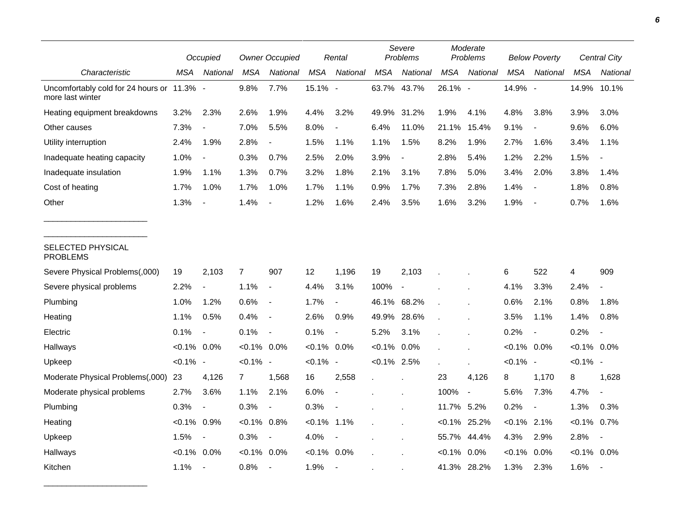|                                                                | Occupied       |                          | <b>Owner Occupied</b> |                          |                | Rental                   |                | Severe<br>Problems       |            | Moderate<br>Problems | <b>Below Poverty</b> |                          | <b>Central City</b> |                          |
|----------------------------------------------------------------|----------------|--------------------------|-----------------------|--------------------------|----------------|--------------------------|----------------|--------------------------|------------|----------------------|----------------------|--------------------------|---------------------|--------------------------|
| Characteristic                                                 | MSA            | National                 | <b>MSA</b>            | National                 | <b>MSA</b>     | National                 | <b>MSA</b>     | National                 | <b>MSA</b> | National             | <b>MSA</b>           | National                 | <b>MSA</b>          | National                 |
| Uncomfortably cold for 24 hours or 11.3% -<br>more last winter |                |                          | 9.8%                  | 7.7%                     | 15.1% -        |                          | 63.7%          | 43.7%                    | 26.1% -    |                      | 14.9% -              |                          | 14.9%               | 10.1%                    |
| Heating equipment breakdowns                                   | 3.2%           | 2.3%                     | 2.6%                  | 1.9%                     | 4.4%           | 3.2%                     | 49.9%          | 31.2%                    | 1.9%       | 4.1%                 | 4.8%                 | 3.8%                     | 3.9%                | 3.0%                     |
| Other causes                                                   | 7.3%           | $\overline{\phantom{a}}$ | 7.0%                  | 5.5%                     | 8.0%           | $\blacksquare$           | 6.4%           | 11.0%                    | 21.1%      | 15.4%                | 9.1%                 | $\overline{\phantom{a}}$ | 9.6%                | 6.0%                     |
| Utility interruption                                           | 2.4%           | 1.9%                     | 2.8%                  | $\blacksquare$           | 1.5%           | 1.1%                     | 1.1%           | 1.5%                     | 8.2%       | 1.9%                 | 2.7%                 | 1.6%                     | 3.4%                | 1.1%                     |
| Inadequate heating capacity                                    | 1.0%           | $\overline{\phantom{a}}$ | 0.3%                  | 0.7%                     | 2.5%           | 2.0%                     | 3.9%           |                          | 2.8%       | 5.4%                 | 1.2%                 | 2.2%                     | 1.5%                | $\blacksquare$           |
| Inadequate insulation                                          | 1.9%           | 1.1%                     | 1.3%                  | 0.7%                     | 3.2%           | 1.8%                     | 2.1%           | 3.1%                     | 7.8%       | 5.0%                 | 3.4%                 | 2.0%                     | 3.8%                | 1.4%                     |
| Cost of heating                                                | 1.7%           | 1.0%                     | 1.7%                  | 1.0%                     | 1.7%           | 1.1%                     | 0.9%           | 1.7%                     | 7.3%       | 2.8%                 | 1.4%                 | $\overline{\phantom{a}}$ | 1.8%                | 0.8%                     |
| Other                                                          | 1.3%           |                          | 1.4%                  |                          | 1.2%           | 1.6%                     | 2.4%           | 3.5%                     | 1.6%       | 3.2%                 | 1.9%                 | $\overline{\phantom{a}}$ | 0.7%                | 1.6%                     |
| SELECTED PHYSICAL<br><b>PROBLEMS</b>                           |                |                          |                       |                          |                |                          |                |                          |            |                      |                      |                          |                     |                          |
| Severe Physical Problems(,000)                                 | 19             | 2,103                    | $\overline{7}$        | 907                      | 12             | 1,196                    | 19             | 2,103                    |            |                      | 6                    | 522                      | 4                   | 909                      |
| Severe physical problems                                       | 2.2%           | $\overline{a}$           | 1.1%                  | $\overline{\phantom{a}}$ | 4.4%           | 3.1%                     | 100%           | $\overline{\phantom{a}}$ |            |                      | 4.1%                 | 3.3%                     | 2.4%                | $\blacksquare$           |
| Plumbing                                                       | 1.0%           | 1.2%                     | 0.6%                  | $\overline{\phantom{a}}$ | 1.7%           |                          | 46.1% 68.2%    |                          |            |                      | 0.6%                 | 2.1%                     | 0.8%                | 1.8%                     |
| Heating                                                        | 1.1%           | 0.5%                     | 0.4%                  | $\blacksquare$           | 2.6%           | 0.9%                     | 49.9%          | 28.6%                    |            |                      | 3.5%                 | 1.1%                     | 1.4%                | 0.8%                     |
| Electric                                                       | 0.1%           | $\overline{\phantom{a}}$ | 0.1%                  | $\overline{\phantom{a}}$ | 0.1%           | $\blacksquare$           | 5.2%           | 3.1%                     |            |                      | 0.2%                 | $\overline{\phantom{a}}$ | 0.2%                | $\overline{\phantom{a}}$ |
| Hallways                                                       | $< 0.1\%$ 0.0% |                          | $< 0.1\%$             | $0.0\%$                  | $< 0.1\%$ 0.0% |                          | $< 0.1\%$      | 0.0%                     |            |                      | $< 0.1\%$ 0.0%       |                          | $< 0.1\%$ 0.0%      |                          |
| Upkeep                                                         | $< 0.1\%$ -    |                          | $< 0.1\%$ -           |                          | $< 0.1\%$ -    |                          | $< 0.1\%$ 2.5% |                          |            |                      | $< 0.1\%$ -          |                          | $< 0.1\%$ -         |                          |
| Moderate Physical Problems(,000)                               | 23             | 4,126                    | 7                     | 1,568                    | 16             | 2,558                    | $\epsilon$     |                          | 23         | 4,126                | 8                    | 1,170                    | 8                   | 1,628                    |
| Moderate physical problems                                     | 2.7%           | 3.6%                     | 1.1%                  | 2.1%                     | 6.0%           | $\sim$                   |                |                          | 100%       | $\blacksquare$       | 5.6%                 | 7.3%                     | 4.7%                | $\overline{a}$           |
| Plumbing                                                       | 0.3%           | $\overline{\phantom{a}}$ | 0.3%                  |                          | 0.3%           |                          |                |                          | 11.7% 5.2% |                      | 0.2%                 | $\overline{\phantom{a}}$ | 1.3%                | 0.3%                     |
| Heating                                                        | $< 0.1\%$ 0.9% |                          | $< 0.1\%$             | 0.8%                     | $< 0.1\%$ 1.1% |                          |                |                          |            | $< 0.1\%$ 25.2%      | $< 0.1\%$ 2.1%       |                          | $< 0.1\%$           | 0.7%                     |
| Upkeep                                                         | 1.5%           | $\overline{\phantom{a}}$ | 0.3%                  | $\sim$                   | 4.0%           | $\overline{\phantom{a}}$ |                |                          | 55.7%      | 44.4%                | 4.3%                 | 2.9%                     | 2.8%                | $\blacksquare$           |
| Hallways                                                       | $< 0.1\%$ 0.0% |                          | $< 0.1\%$             | $0.0\%$                  | $< 0.1\%$      | 0.0%                     |                |                          | $< 0.1\%$  | 0.0%                 | $< 0.1\%$            | 0.0%                     | $< 0.1\%$ 0.0%      |                          |
| Kitchen                                                        | 1.1%           | $\blacksquare$           | 0.8%                  |                          | 1.9%           | $\sim$                   |                |                          | 41.3%      | 28.2%                | 1.3%                 | 2.3%                     | 1.6%                |                          |

\_\_\_\_\_\_\_\_\_\_\_\_\_\_\_\_\_\_\_\_\_\_\_